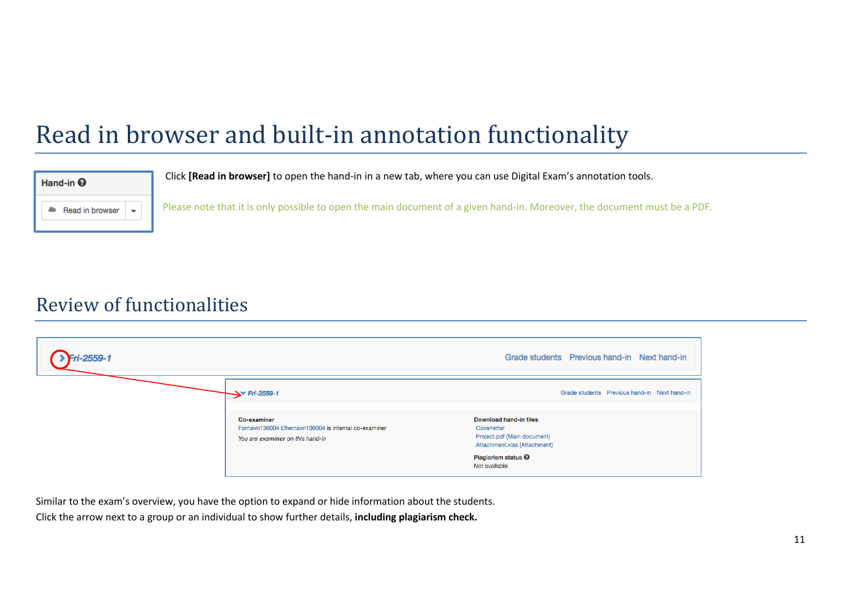## Read in browser and built-in annotation functionality



Click **[Read in browser]** to open the hand-in in a new tab, where you can use Digital Exam's annotation tools.

Please note that it is only possible to open the main document of a given hand-in. Moreover, the document must be a PDF.

## Review of functionalities

| ri-2559-1 |                                                                                                          | Grade students Previous hand-in Next hand-in                                                         |  |  |
|-----------|----------------------------------------------------------------------------------------------------------|------------------------------------------------------------------------------------------------------|--|--|
|           | $\rightarrow$ Fri-2559-1                                                                                 | Grade students Previous hand-in Next hand-in                                                         |  |  |
|           | Co-examiner<br>Fornavn136004 Efternavn136004 is internal co-examiner<br>You are examiner on this hand-in | Download hand-in files<br>Coverletter<br>Project.pdf (Main document)<br>Attachment.xlsx (Attachment) |  |  |
|           |                                                                                                          | Plagiarism status <sup>O</sup><br>Not available                                                      |  |  |

Similar to the exam's overview, you have the option to expand or hide information about the students.

Click the arrow next to a group or an individual to show further details, **including plagiarism check.**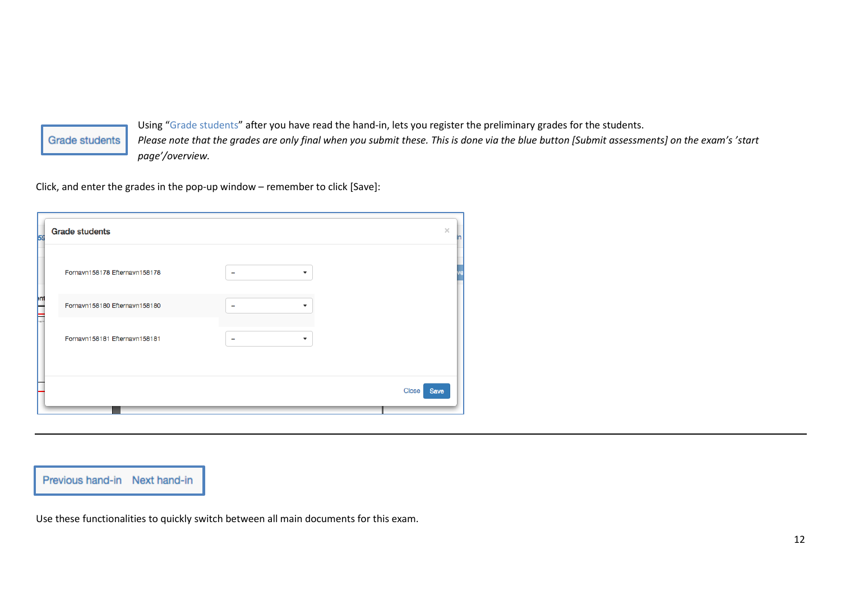## **Grade students**

Using "Grade students" after you have read the hand-in, lets you register the preliminary grades for the students. *Please note that the grades are only final when you submit these. This is done via the blue button [Submit assessments] on the exam's 'start page'/overview.* 

Click, and enter the grades in the pop-up window – remember to click [Save]:

| <b>59</b>     | <b>Grade students</b>         | $\times$                                             |                      |
|---------------|-------------------------------|------------------------------------------------------|----------------------|
|               | Fornavn158178 Efternavn158178 | $\overline{\phantom{a}}$<br>۰                        |                      |
| <b>I</b><br>▬ | Fornavn158180 Efternavn158180 | ۰<br>$\overline{\phantom{a}}$                        |                      |
| w             | Fornavn158181 Efternavn158181 | $\overline{\phantom{a}}$<br>$\overline{\phantom{0}}$ |                      |
|               |                               |                                                      | <b>Close</b><br>Save |

Previous hand-in Next hand-in

Use these functionalities to quickly switch between all main documents for this exam.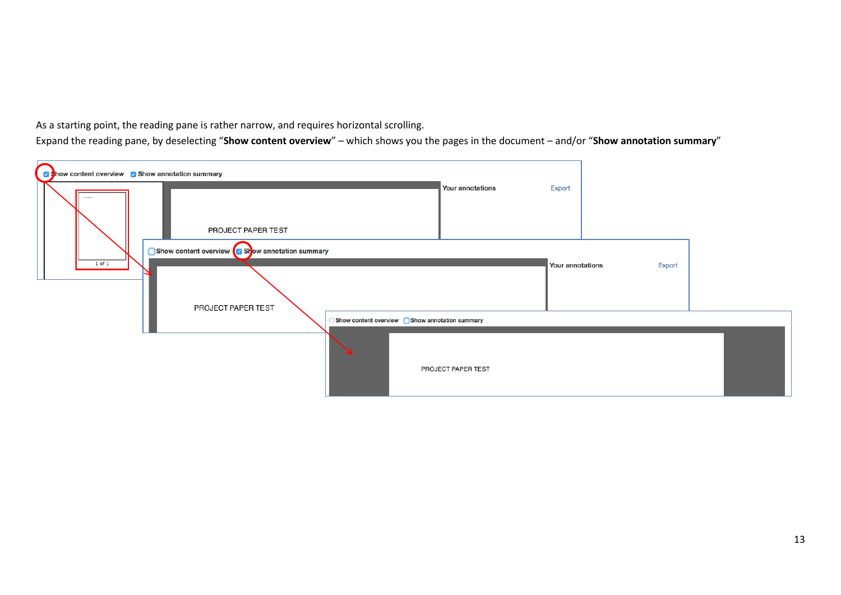

As a starting point, the reading pane is rather narrow, and requires horizontal scrolling.

Expand the reading pane, by deselecting "**Show content overview**" – which shows you the pages in the document – and/or "**Show annotation summary**"